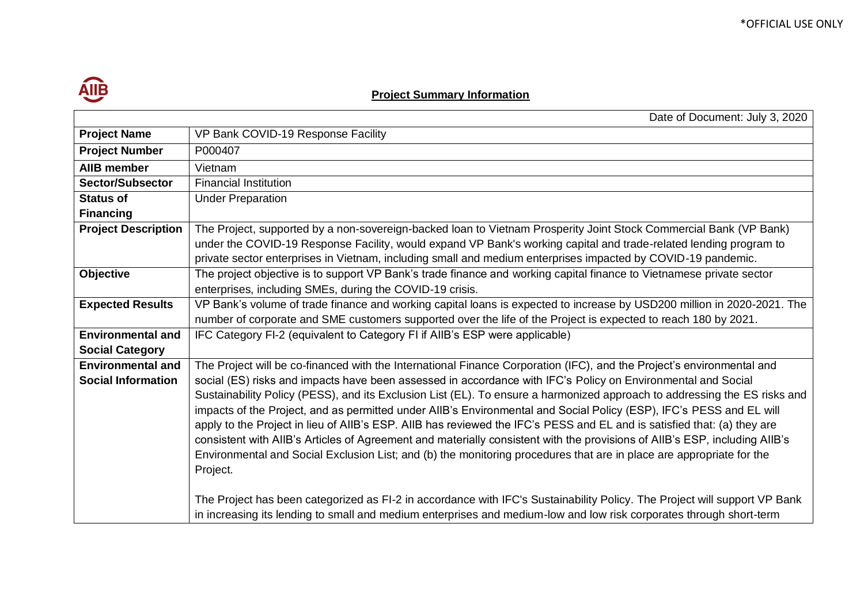

## **Project Summary Information**

|                            | Date of Document: July 3, 2020                                                                                             |
|----------------------------|----------------------------------------------------------------------------------------------------------------------------|
| <b>Project Name</b>        | VP Bank COVID-19 Response Facility                                                                                         |
| <b>Project Number</b>      | P000407                                                                                                                    |
| <b>AIIB member</b>         | Vietnam                                                                                                                    |
| <b>Sector/Subsector</b>    | <b>Financial Institution</b>                                                                                               |
| <b>Status of</b>           | <b>Under Preparation</b>                                                                                                   |
| <b>Financing</b>           |                                                                                                                            |
| <b>Project Description</b> | The Project, supported by a non-sovereign-backed loan to Vietnam Prosperity Joint Stock Commercial Bank (VP Bank)          |
|                            | under the COVID-19 Response Facility, would expand VP Bank's working capital and trade-related lending program to          |
|                            | private sector enterprises in Vietnam, including small and medium enterprises impacted by COVID-19 pandemic.               |
| <b>Objective</b>           | The project objective is to support VP Bank's trade finance and working capital finance to Vietnamese private sector       |
|                            | enterprises, including SMEs, during the COVID-19 crisis.                                                                   |
| <b>Expected Results</b>    | VP Bank's volume of trade finance and working capital loans is expected to increase by USD200 million in 2020-2021. The    |
|                            | number of corporate and SME customers supported over the life of the Project is expected to reach 180 by 2021.             |
| <b>Environmental and</b>   | IFC Category FI-2 (equivalent to Category FI if AIIB's ESP were applicable)                                                |
| <b>Social Category</b>     |                                                                                                                            |
| <b>Environmental and</b>   | The Project will be co-financed with the International Finance Corporation (IFC), and the Project's environmental and      |
| <b>Social Information</b>  | social (ES) risks and impacts have been assessed in accordance with IFC's Policy on Environmental and Social               |
|                            | Sustainability Policy (PESS), and its Exclusion List (EL). To ensure a harmonized approach to addressing the ES risks and  |
|                            | impacts of the Project, and as permitted under AIIB's Environmental and Social Policy (ESP), IFC's PESS and EL will        |
|                            | apply to the Project in lieu of AIIB's ESP. AIIB has reviewed the IFC's PESS and EL and is satisfied that: (a) they are    |
|                            | consistent with AIIB's Articles of Agreement and materially consistent with the provisions of AIIB's ESP, including AIIB's |
|                            | Environmental and Social Exclusion List; and (b) the monitoring procedures that are in place are appropriate for the       |
|                            | Project.                                                                                                                   |
|                            |                                                                                                                            |
|                            | The Project has been categorized as FI-2 in accordance with IFC's Sustainability Policy. The Project will support VP Bank  |
|                            | in increasing its lending to small and medium enterprises and medium-low and low risk corporates through short-term        |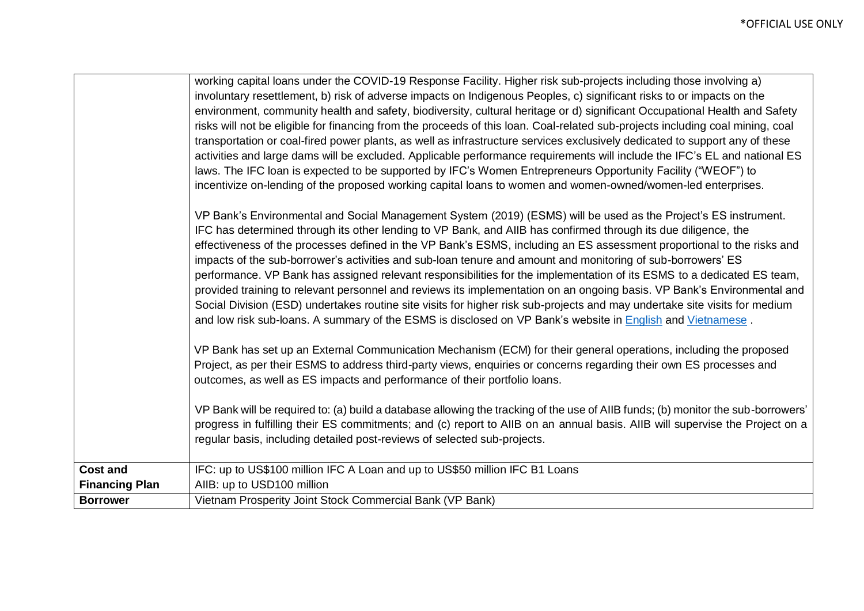|                       | working capital loans under the COVID-19 Response Facility. Higher risk sub-projects including those involving a)                |
|-----------------------|----------------------------------------------------------------------------------------------------------------------------------|
|                       | involuntary resettlement, b) risk of adverse impacts on Indigenous Peoples, c) significant risks to or impacts on the            |
|                       | environment, community health and safety, biodiversity, cultural heritage or d) significant Occupational Health and Safety       |
|                       | risks will not be eligible for financing from the proceeds of this loan. Coal-related sub-projects including coal mining, coal   |
|                       | transportation or coal-fired power plants, as well as infrastructure services exclusively dedicated to support any of these      |
|                       | activities and large dams will be excluded. Applicable performance requirements will include the IFC's EL and national ES        |
|                       | laws. The IFC loan is expected to be supported by IFC's Women Entrepreneurs Opportunity Facility ("WEOF") to                     |
|                       | incentivize on-lending of the proposed working capital loans to women and women-owned/women-led enterprises.                     |
|                       | VP Bank's Environmental and Social Management System (2019) (ESMS) will be used as the Project's ES instrument.                  |
|                       | IFC has determined through its other lending to VP Bank, and AIIB has confirmed through its due diligence, the                   |
|                       | effectiveness of the processes defined in the VP Bank's ESMS, including an ES assessment proportional to the risks and           |
|                       | impacts of the sub-borrower's activities and sub-loan tenure and amount and monitoring of sub-borrowers' ES                      |
|                       | performance. VP Bank has assigned relevant responsibilities for the implementation of its ESMS to a dedicated ES team,           |
|                       | provided training to relevant personnel and reviews its implementation on an ongoing basis. VP Bank's Environmental and          |
|                       | Social Division (ESD) undertakes routine site visits for higher risk sub-projects and may undertake site visits for medium       |
|                       | and low risk sub-loans. A summary of the ESMS is disclosed on VP Bank's website in English and Vietnamese.                       |
|                       | VP Bank has set up an External Communication Mechanism (ECM) for their general operations, including the proposed                |
|                       | Project, as per their ESMS to address third-party views, enquiries or concerns regarding their own ES processes and              |
|                       | outcomes, as well as ES impacts and performance of their portfolio loans.                                                        |
|                       | VP Bank will be required to: (a) build a database allowing the tracking of the use of AIIB funds; (b) monitor the sub-borrowers' |
|                       | progress in fulfilling their ES commitments; and (c) report to AIIB on an annual basis. AIIB will supervise the Project on a     |
|                       | regular basis, including detailed post-reviews of selected sub-projects.                                                         |
|                       |                                                                                                                                  |
| <b>Cost and</b>       | IFC: up to US\$100 million IFC A Loan and up to US\$50 million IFC B1 Loans                                                      |
| <b>Financing Plan</b> | AIIB: up to USD100 million                                                                                                       |
| <b>Borrower</b>       | Vietnam Prosperity Joint Stock Commercial Bank (VP Bank)                                                                         |